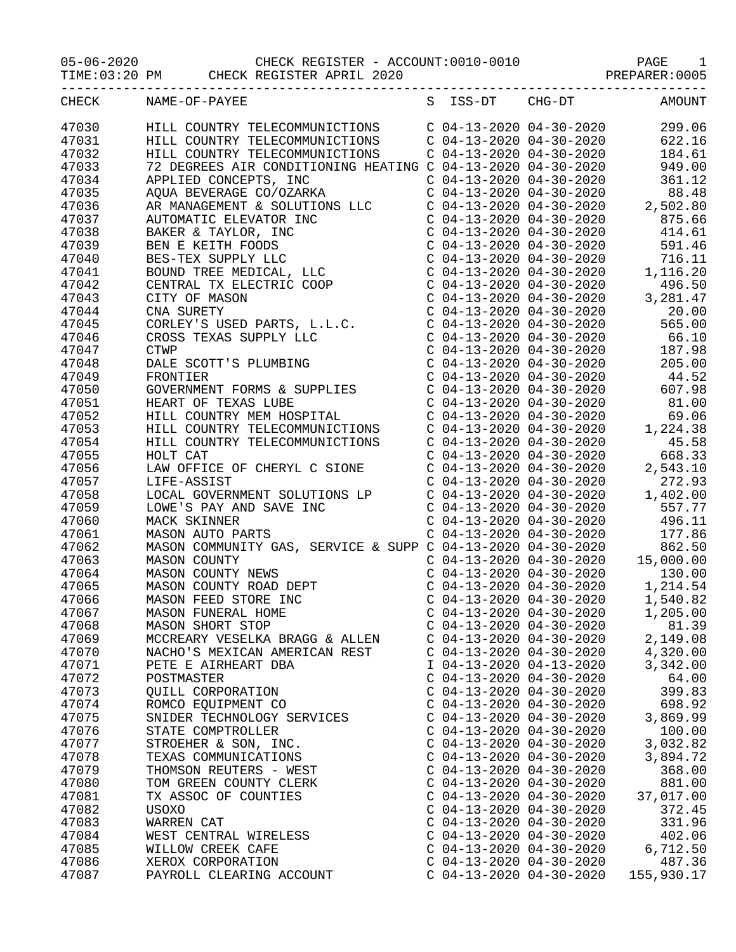05-06-2020 CHECK REGISTER - ACCOUNT:0010-0010 PAGE 1 TIME:03:20 PM CHECK REGISTER APRIL 2020 PREPARER:0005

| CHECK | NAME-OF-PAYEE                                                                                                                                                                                                                                      |                           | S ISS-DT CHG-DT                                      | AMOUNT                                                                                                                                                                                                                                     |
|-------|----------------------------------------------------------------------------------------------------------------------------------------------------------------------------------------------------------------------------------------------------|---------------------------|------------------------------------------------------|--------------------------------------------------------------------------------------------------------------------------------------------------------------------------------------------------------------------------------------------|
| 47030 | HILL COUNTRY TELECOMMUNICTIONS C 04-13-2020 04-30-2020                                                                                                                                                                                             |                           |                                                      | 299.06                                                                                                                                                                                                                                     |
| 47031 | HILL COUNTRY TELECOMMUNICTIONS                                                                                                                                                                                                                     |                           | $C$ 04-13-2020 04-30-2020                            | 622.16                                                                                                                                                                                                                                     |
|       |                                                                                                                                                                                                                                                    |                           | $C$ 04-13-2020 04-30-2020                            | 184.61                                                                                                                                                                                                                                     |
| 47032 | HILL COUNTRY TELECOMMUNICTIONS                                                                                                                                                                                                                     |                           |                                                      |                                                                                                                                                                                                                                            |
| 47033 | 72 DEGREES AIR CONDITIONING HEATING C 04-13-2020 04-30-2020                                                                                                                                                                                        |                           |                                                      | 949.00                                                                                                                                                                                                                                     |
| 47034 |                                                                                                                                                                                                                                                    |                           | $C$ 04-13-2020 04-30-2020                            | 361.12                                                                                                                                                                                                                                     |
| 47035 | APPLIED CONCEPTS, INC<br>AQUA BEVERAGE CO/OZARKA                                                                                                                                                                                                   | $C$ 04-13-2020 04-30-2020 |                                                      | 88.48<br>$\begin{array}{r} 88.48 \\ 2,502.80 \\ 875.66 \\ 414.61 \end{array}$                                                                                                                                                              |
| 47036 |                                                                                                                                                                                                                                                    |                           | $C$ 04-13-2020 04-30-2020                            |                                                                                                                                                                                                                                            |
| 47037 |                                                                                                                                                                                                                                                    | $C$ 04-13-2020 04-30-2020 |                                                      |                                                                                                                                                                                                                                            |
| 47038 |                                                                                                                                                                                                                                                    |                           | $C$ 04-13-2020 04-30-2020                            |                                                                                                                                                                                                                                            |
| 47039 |                                                                                                                                                                                                                                                    |                           | $C$ 04-13-2020 04-30-2020                            | 591.46                                                                                                                                                                                                                                     |
| 47040 |                                                                                                                                                                                                                                                    |                           |                                                      | 716.11                                                                                                                                                                                                                                     |
| 47041 |                                                                                                                                                                                                                                                    |                           | C 04-13-2020 04-30-2020<br>C 04-13-2020 04-30-2020 1 | 1,116.20                                                                                                                                                                                                                                   |
| 47042 |                                                                                                                                                                                                                                                    |                           | $C$ 04-13-2020 04-30-2020                            | 496.50                                                                                                                                                                                                                                     |
| 47043 |                                                                                                                                                                                                                                                    |                           | $C$ 04-13-2020 04-30-2020                            |                                                                                                                                                                                                                                            |
|       | AQUA BEVERAGE CO/OZARKA<br>AR MANAGEMENT & SOLUTIONS LLC<br>AUTOMATIC ELEVATOR INC<br>BAKER & TAYLOR, INC<br>BEN E KEITH FOODS<br>BES-TEX SUPPLY LLC<br>BOUND TREE MEDICAL, LLC<br>CENTRAL TX ELECTRIC COOP<br>CITY OF MASON<br>CNA SURETY<br>CODI |                           |                                                      | 496.50<br>3,281.47<br>20.00                                                                                                                                                                                                                |
| 47044 |                                                                                                                                                                                                                                                    |                           | $C$ 04-13-2020 04-30-2020                            |                                                                                                                                                                                                                                            |
| 47045 |                                                                                                                                                                                                                                                    |                           | $C$ 04-13-2020 04-30-2020                            | 565.00                                                                                                                                                                                                                                     |
| 47046 |                                                                                                                                                                                                                                                    | $C$ 04-13-2020 04-30-2020 |                                                      | 66.10                                                                                                                                                                                                                                      |
| 47047 |                                                                                                                                                                                                                                                    |                           | $C$ 04-13-2020 04-30-2020                            | 187.98                                                                                                                                                                                                                                     |
| 47048 |                                                                                                                                                                                                                                                    |                           | $C$ 04-13-2020 04-30-2020                            |                                                                                                                                                                                                                                            |
| 47049 | CNA SURETY<br>CORLEY'S USED PARTS, L.L.C.<br>CROSS TEXAS SUPPLY LLC<br>CTWP<br>DALE SCOTT'S PLUMBING                                                                                                                                               |                           | $C$ 04-13-2020 04-30-2020                            | 205.00<br>44.52                                                                                                                                                                                                                            |
| 47050 | FRONTIER<br>GOVERNMENT FORMS & SUPPLIES<br>HEART OF TEXAS LUBE<br>HIII COUNTRY YOU TO TE THE                                                                                                                                                       |                           |                                                      | $C$ 04-13-2020 04-30-2020 607.98                                                                                                                                                                                                           |
| 47051 |                                                                                                                                                                                                                                                    |                           | $C$ 04-13-2020 04-30-2020                            | 81.00                                                                                                                                                                                                                                      |
| 47052 | HILL COUNTRY MEM HOSPITAL                                                                                                                                                                                                                          |                           | $C$ 04-13-2020 04-30-2020                            | 69.06                                                                                                                                                                                                                                      |
| 47053 |                                                                                                                                                                                                                                                    |                           | $C$ 04-13-2020 04-30-2020                            | 1,224.38                                                                                                                                                                                                                                   |
| 47054 | HILL COUNTRY TELECOMMUNICTIONS<br>HILL COUNTRY TELECOMMUNICTIONS<br>WOLT CAT                                                                                                                                                                       | $C$ 04-13-2020 04-30-2020 |                                                      | 45.58                                                                                                                                                                                                                                      |
|       |                                                                                                                                                                                                                                                    |                           | $C$ 04-13-2020 04-30-2020                            |                                                                                                                                                                                                                                            |
| 47055 | HOLT CAT                                                                                                                                                                                                                                           |                           |                                                      | 668.33                                                                                                                                                                                                                                     |
| 47056 | LAW OFFICE OF CHERYL C SIONE                                                                                                                                                                                                                       |                           | $C$ 04-13-2020 04-30-2020                            | 2,543.10                                                                                                                                                                                                                                   |
| 47057 | LIFE-ASSIST                                                                                                                                                                                                                                        | $C$ 04-13-2020 04-30-2020 |                                                      | 272.93                                                                                                                                                                                                                                     |
| 47058 | LOCAL GOVERNMENT SOLUTIONS LP<br>LOWE'S PAY AND SAVE INC<br>MACK SKINNER<br>MASON AUTO PARTS                                                                                                                                                       | $C$ 04-13-2020 04-30-2020 |                                                      | 1,402.00                                                                                                                                                                                                                                   |
| 47059 |                                                                                                                                                                                                                                                    | $C$ 04-13-2020 04-30-2020 |                                                      | 557.77                                                                                                                                                                                                                                     |
| 47060 |                                                                                                                                                                                                                                                    | $C$ 04-13-2020 04-30-2020 |                                                      | 496.11                                                                                                                                                                                                                                     |
| 47061 |                                                                                                                                                                                                                                                    |                           | $C$ 04-13-2020 04-30-2020                            | 177.86                                                                                                                                                                                                                                     |
| 47062 | MASON COMMUNITY GAS, SERVICE & SUPP C 04-13-2020 04-30-2020                                                                                                                                                                                        |                           |                                                      | 862.50                                                                                                                                                                                                                                     |
| 47063 |                                                                                                                                                                                                                                                    |                           | $C$ 04-13-2020 04-30-2020                            | 15,000.00                                                                                                                                                                                                                                  |
| 47064 | MASON COUNTY<br>MASON COUNTY NEWS<br>MASON COUNTY ROAD DEPT<br>MASON FEED STORE INC<br>MASON FUNERAL HOME                                                                                                                                          |                           |                                                      | $\begin{array}{cccccc} \text{C} & 04-13-2020 & 04-30-2020 & & 130.00 \\ \text{C} & 04-13-2020 & 04-30-2020 & & 1,214.54 \\ \text{C} & 04-13-2020 & 04-30-2020 & & 1,540.82 \\ \text{C} & 04-13-2020 & 04-30-2020 & & 1,205.00 \end{array}$ |
| 47065 |                                                                                                                                                                                                                                                    |                           |                                                      |                                                                                                                                                                                                                                            |
| 47066 |                                                                                                                                                                                                                                                    |                           |                                                      |                                                                                                                                                                                                                                            |
| 47067 |                                                                                                                                                                                                                                                    |                           |                                                      |                                                                                                                                                                                                                                            |
|       |                                                                                                                                                                                                                                                    |                           |                                                      |                                                                                                                                                                                                                                            |
| 47068 | MASON SHORT STOP                                                                                                                                                                                                                                   | $C$ 04-13-2020 04-30-2020 |                                                      | 81.39                                                                                                                                                                                                                                      |
| 47069 | MCCREARY VESELKA BRAGG & ALLEN                                                                                                                                                                                                                     | $C$ 04-13-2020 04-30-2020 |                                                      | 2,149.08                                                                                                                                                                                                                                   |
| 47070 | NACHO'S MEXICAN AMERICAN REST                                                                                                                                                                                                                      | $C$ 04-13-2020 04-30-2020 |                                                      | 4,320.00                                                                                                                                                                                                                                   |
| 47071 | PETE E AIRHEART DBA                                                                                                                                                                                                                                | I 04-13-2020 04-13-2020   |                                                      | 3,342.00                                                                                                                                                                                                                                   |
| 47072 | POSTMASTER                                                                                                                                                                                                                                         | $C$ 04-13-2020 04-30-2020 |                                                      | 64.00                                                                                                                                                                                                                                      |
| 47073 | QUILL CORPORATION                                                                                                                                                                                                                                  | $C$ 04-13-2020 04-30-2020 |                                                      | 399.83                                                                                                                                                                                                                                     |
| 47074 | ROMCO EQUIPMENT CO                                                                                                                                                                                                                                 | $C$ 04-13-2020 04-30-2020 |                                                      | 698.92                                                                                                                                                                                                                                     |
| 47075 | SNIDER TECHNOLOGY SERVICES                                                                                                                                                                                                                         | $C$ 04-13-2020 04-30-2020 |                                                      | 3,869.99                                                                                                                                                                                                                                   |
| 47076 | STATE COMPTROLLER                                                                                                                                                                                                                                  | $C$ 04-13-2020 04-30-2020 |                                                      | 100.00                                                                                                                                                                                                                                     |
| 47077 | STROEHER & SON, INC.                                                                                                                                                                                                                               | $C$ 04-13-2020 04-30-2020 |                                                      | 3,032.82                                                                                                                                                                                                                                   |
| 47078 | TEXAS COMMUNICATIONS                                                                                                                                                                                                                               | $C$ 04-13-2020 04-30-2020 |                                                      | 3,894.72                                                                                                                                                                                                                                   |
| 47079 | THOMSON REUTERS - WEST                                                                                                                                                                                                                             | $C$ 04-13-2020 04-30-2020 |                                                      | 368.00                                                                                                                                                                                                                                     |
| 47080 | TOM GREEN COUNTY CLERK                                                                                                                                                                                                                             | $C$ 04-13-2020 04-30-2020 |                                                      | 881.00                                                                                                                                                                                                                                     |
|       |                                                                                                                                                                                                                                                    |                           |                                                      |                                                                                                                                                                                                                                            |
| 47081 | TX ASSOC OF COUNTIES                                                                                                                                                                                                                               | $C$ 04-13-2020 04-30-2020 |                                                      | 37,017.00                                                                                                                                                                                                                                  |
| 47082 | USOXO                                                                                                                                                                                                                                              | $C$ 04-13-2020 04-30-2020 |                                                      | 372.45                                                                                                                                                                                                                                     |
| 47083 | WARREN CAT                                                                                                                                                                                                                                         | $C$ 04-13-2020 04-30-2020 |                                                      | 331.96                                                                                                                                                                                                                                     |
| 47084 | WEST CENTRAL WIRELESS                                                                                                                                                                                                                              | $C$ 04-13-2020 04-30-2020 |                                                      | 402.06                                                                                                                                                                                                                                     |
| 47085 | WILLOW CREEK CAFE                                                                                                                                                                                                                                  | $C$ 04-13-2020 04-30-2020 |                                                      | 6,712.50                                                                                                                                                                                                                                   |
| 47086 | XEROX CORPORATION                                                                                                                                                                                                                                  | $C$ 04-13-2020 04-30-2020 |                                                      | 487.36                                                                                                                                                                                                                                     |
| 47087 | PAYROLL CLEARING ACCOUNT                                                                                                                                                                                                                           | $C$ 04-13-2020 04-30-2020 |                                                      | 155,930.17                                                                                                                                                                                                                                 |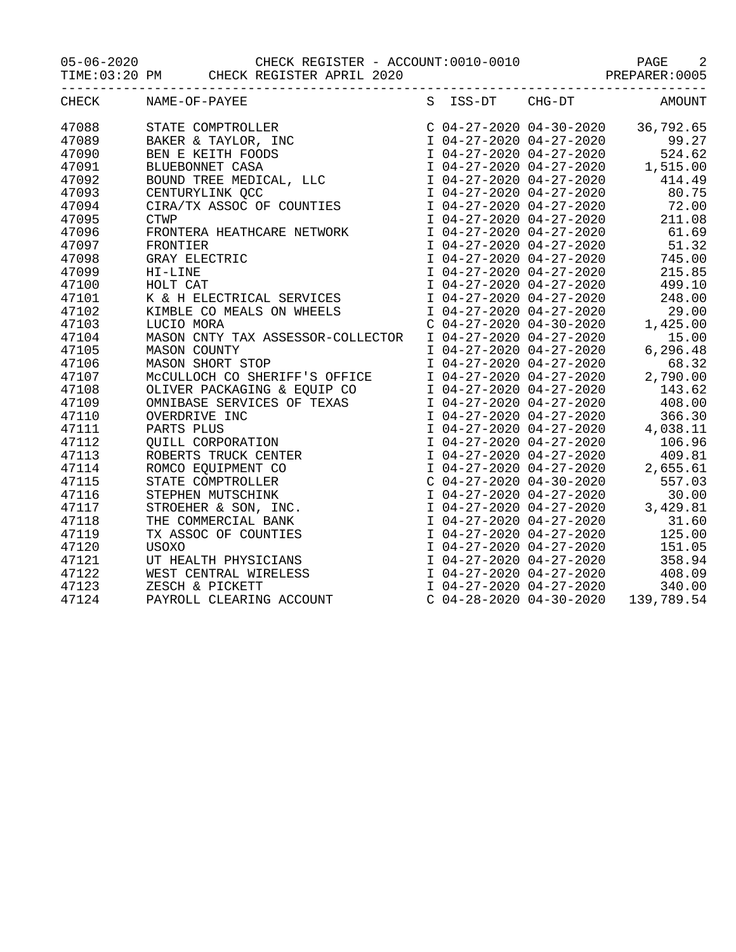05-06-2020 CHECK REGISTER - ACCOUNT:0010-0010 PAGE 2

TIME:03:20 PM CHECK REGISTER APRIL 2020 PREPARER:0005

| CHECK | NAME-OF-PAYEE                                                                                                                                                                                                                                                                                                                               |  | S ISS-DT CHG-DT AMOUNT                                                                                                                                                                                                                                     |  |
|-------|---------------------------------------------------------------------------------------------------------------------------------------------------------------------------------------------------------------------------------------------------------------------------------------------------------------------------------------------|--|------------------------------------------------------------------------------------------------------------------------------------------------------------------------------------------------------------------------------------------------------------|--|
| 47088 | STATE COMPTROLLER<br>BAKER & TAYLOR, INC<br>BEN E KEITH FOODS<br>BLUEBONNET CASA<br>BOUND TREE MEDICAL, LLC<br>CENTURYLINK QCC<br>CIRA/TX ASSOC OF COUNTIES<br>CTWP                                                                                                                                                                         |  | $C$ 04-27-2020 04-30-2020 36,792.65                                                                                                                                                                                                                        |  |
| 47089 |                                                                                                                                                                                                                                                                                                                                             |  |                                                                                                                                                                                                                                                            |  |
| 47090 |                                                                                                                                                                                                                                                                                                                                             |  |                                                                                                                                                                                                                                                            |  |
| 47091 |                                                                                                                                                                                                                                                                                                                                             |  |                                                                                                                                                                                                                                                            |  |
| 47092 |                                                                                                                                                                                                                                                                                                                                             |  |                                                                                                                                                                                                                                                            |  |
| 47093 |                                                                                                                                                                                                                                                                                                                                             |  |                                                                                                                                                                                                                                                            |  |
| 47094 |                                                                                                                                                                                                                                                                                                                                             |  | $1 \t04-27-2020 \t04-27-2020 \t0524.62$<br>$1 \t04-27-2020 \t04-27-2020 \t0524.62$<br>$1 \t04-27-2020 \t04-27-2020 \t1,515.00$<br>$1 \t04-27-2020 \t04-27-2020 \t0414.49$<br>$1 \t04-27-2020 \t04-27-2020 \t080.75$<br>$1 \t04-27-2020 \t04-27-2020 \t072$ |  |
| 47095 | <b>CTWP</b>                                                                                                                                                                                                                                                                                                                                 |  | I 04-27-2020 04-27-2020 211.08                                                                                                                                                                                                                             |  |
| 47096 | <b>FRONTERA HEATHCARE NETWORK</b>                                                                                                                                                                                                                                                                                                           |  | I 04-27-2020 04-27-2020 61.69                                                                                                                                                                                                                              |  |
| 47097 |                                                                                                                                                                                                                                                                                                                                             |  |                                                                                                                                                                                                                                                            |  |
| 47098 |                                                                                                                                                                                                                                                                                                                                             |  |                                                                                                                                                                                                                                                            |  |
| 47099 |                                                                                                                                                                                                                                                                                                                                             |  |                                                                                                                                                                                                                                                            |  |
| 47100 | FRONTIER $\begin{array}{ccccccccc} \text{TRONTER} & & & & 1 & 04-27-2020 & 04-27-2020 & & & 51.32 \\ \text{GRAY ELECTRIC} & & & & & & 1 & 04-27-2020 & 04-27-2020 & & & 745.00 \\ \text{H I-LINE} & & & & & & 1 & 04-27-2020 & 04-27-2020 & & & 215.85 \\ \text{HOLT CAT & & & & & & 1 & 04-27-2020 & 04-27-2020 & & & 499.10 \\ \text{K &$ |  | 1 04-27-2020 04-27-2020<br>1 04-27-2020 04-27-2020 51.32<br>1 04-27-2020 04-27-2020 745.00<br>1 04-27-2020 04-27-2020 215.85<br>1 04-27-2020 04-27-2020 499.10                                                                                             |  |
| 47101 |                                                                                                                                                                                                                                                                                                                                             |  |                                                                                                                                                                                                                                                            |  |
| 47102 |                                                                                                                                                                                                                                                                                                                                             |  |                                                                                                                                                                                                                                                            |  |
| 47103 | XIMBLE CO MEALS ON WHEELS<br>LUCIO MORA C 04-27-2020 04-30-2020 1,425.00                                                                                                                                                                                                                                                                    |  |                                                                                                                                                                                                                                                            |  |
| 47104 |                                                                                                                                                                                                                                                                                                                                             |  |                                                                                                                                                                                                                                                            |  |
| 47105 |                                                                                                                                                                                                                                                                                                                                             |  |                                                                                                                                                                                                                                                            |  |
| 47106 |                                                                                                                                                                                                                                                                                                                                             |  |                                                                                                                                                                                                                                                            |  |
| 47107 |                                                                                                                                                                                                                                                                                                                                             |  |                                                                                                                                                                                                                                                            |  |
| 47108 |                                                                                                                                                                                                                                                                                                                                             |  |                                                                                                                                                                                                                                                            |  |
| 47109 |                                                                                                                                                                                                                                                                                                                                             |  |                                                                                                                                                                                                                                                            |  |
| 47110 |                                                                                                                                                                                                                                                                                                                                             |  |                                                                                                                                                                                                                                                            |  |
| 47111 |                                                                                                                                                                                                                                                                                                                                             |  |                                                                                                                                                                                                                                                            |  |
| 47112 |                                                                                                                                                                                                                                                                                                                                             |  |                                                                                                                                                                                                                                                            |  |
| 47113 |                                                                                                                                                                                                                                                                                                                                             |  |                                                                                                                                                                                                                                                            |  |
| 47114 |                                                                                                                                                                                                                                                                                                                                             |  | 1 04-27-2020 04-27-2020<br>1 04-27-2020 04-27-2020<br>1 04-27-2020 04-27-2020<br>1 04-27-2020 04-27-2020<br>1 06.96<br>1 04-27-2020 04-27-2020<br>2,655.61<br>C 04-27-2020 04-30-2020<br>1 04-27-2020 04-27-2020<br>1 04-27-2020 04-27-2020<br>1 0         |  |
| 47115 |                                                                                                                                                                                                                                                                                                                                             |  |                                                                                                                                                                                                                                                            |  |
| 47116 |                                                                                                                                                                                                                                                                                                                                             |  |                                                                                                                                                                                                                                                            |  |
| 47117 |                                                                                                                                                                                                                                                                                                                                             |  |                                                                                                                                                                                                                                                            |  |
| 47118 |                                                                                                                                                                                                                                                                                                                                             |  |                                                                                                                                                                                                                                                            |  |
| 47119 |                                                                                                                                                                                                                                                                                                                                             |  |                                                                                                                                                                                                                                                            |  |
| 47120 |                                                                                                                                                                                                                                                                                                                                             |  |                                                                                                                                                                                                                                                            |  |
| 47121 |                                                                                                                                                                                                                                                                                                                                             |  | 1 04-27-2020 04-27-2020<br>1 04-27-2020 04-27-2020 125.00<br>1 04-27-2020 04-27-2020 125.00<br>1 04-27-2020 04-27-2020 151.05<br>1 04-27-2020 04-27-2020 408.09<br>1 04-27-2020 04-27-2020 408.09<br>1 04-27-2020 04-27-2020 340.00                        |  |
| 47122 |                                                                                                                                                                                                                                                                                                                                             |  |                                                                                                                                                                                                                                                            |  |
| 47123 |                                                                                                                                                                                                                                                                                                                                             |  |                                                                                                                                                                                                                                                            |  |
| 47124 |                                                                                                                                                                                                                                                                                                                                             |  |                                                                                                                                                                                                                                                            |  |